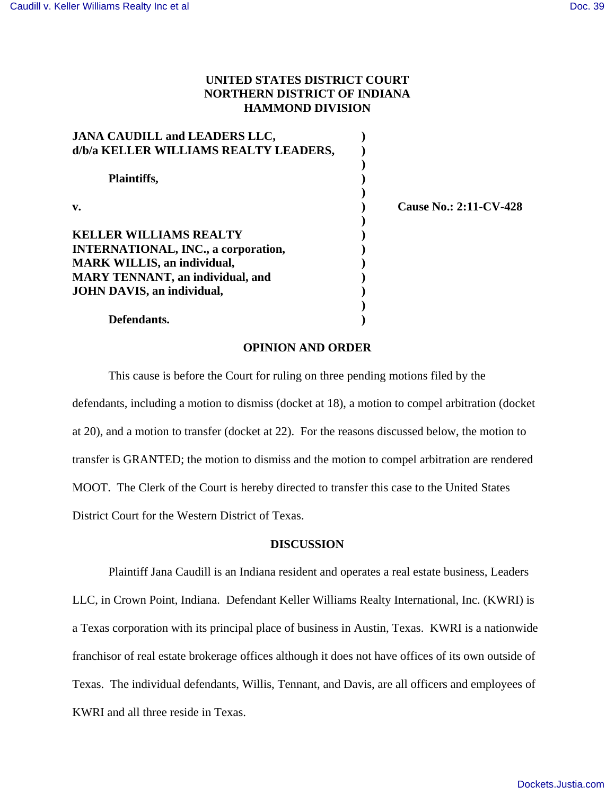# **UNITED STATES DISTRICT COURT NORTHERN DISTRICT OF INDIANA HAMMOND DIVISION**

| <b>JANA CAUDILL and LEADERS LLC,</b>       |                               |
|--------------------------------------------|-------------------------------|
| d/b/a KELLER WILLIAMS REALTY LEADERS,      |                               |
| Plaintiffs,                                |                               |
| v.                                         | <b>Cause No.: 2:11-CV-428</b> |
| <b>KELLER WILLIAMS REALTY</b>              |                               |
| <b>INTERNATIONAL, INC., a corporation,</b> |                               |
| <b>MARK WILLIS, an individual,</b>         |                               |
| <b>MARY TENNANT</b> , an individual, and   |                               |
| <b>JOHN DAVIS, an individual,</b>          |                               |
|                                            |                               |
| Defendants.                                |                               |

#### **OPINION AND ORDER**

This cause is before the Court for ruling on three pending motions filed by the defendants, including a motion to dismiss (docket at 18), a motion to compel arbitration (docket at 20), and a motion to transfer (docket at 22). For the reasons discussed below, the motion to transfer is GRANTED; the motion to dismiss and the motion to compel arbitration are rendered MOOT. The Clerk of the Court is hereby directed to transfer this case to the United States District Court for the Western District of Texas.

### **DISCUSSION**

Plaintiff Jana Caudill is an Indiana resident and operates a real estate business, Leaders LLC, in Crown Point, Indiana. Defendant Keller Williams Realty International, Inc. (KWRI) is a Texas corporation with its principal place of business in Austin, Texas. KWRI is a nationwide franchisor of real estate brokerage offices although it does not have offices of its own outside of Texas. The individual defendants, Willis, Tennant, and Davis, are all officers and employees of KWRI and all three reside in Texas.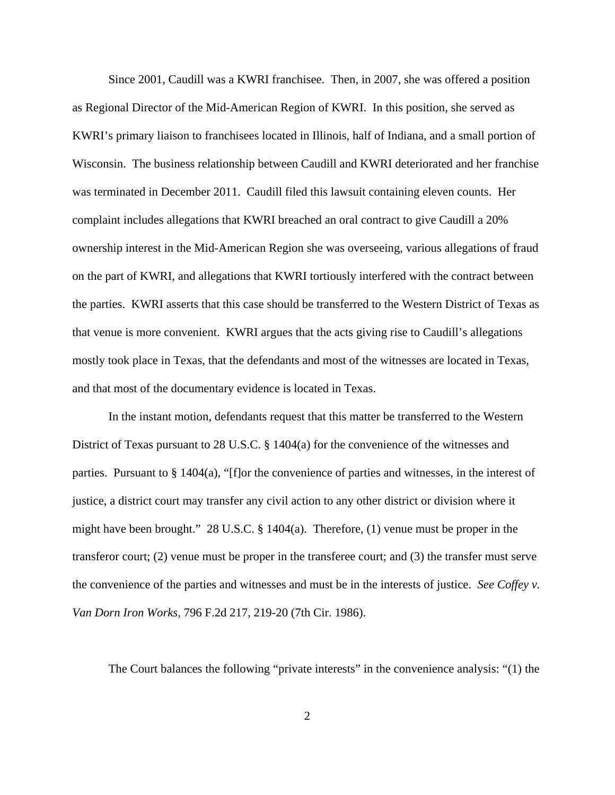Since 2001, Caudill was a KWRI franchisee. Then, in 2007, she was offered a position as Regional Director of the Mid-American Region of KWRI. In this position, she served as KWRI's primary liaison to franchisees located in Illinois, half of Indiana, and a small portion of Wisconsin. The business relationship between Caudill and KWRI deteriorated and her franchise was terminated in December 2011. Caudill filed this lawsuit containing eleven counts. Her complaint includes allegations that KWRI breached an oral contract to give Caudill a 20% ownership interest in the Mid-American Region she was overseeing, various allegations of fraud on the part of KWRI, and allegations that KWRI tortiously interfered with the contract between the parties. KWRI asserts that this case should be transferred to the Western District of Texas as that venue is more convenient. KWRI argues that the acts giving rise to Caudill's allegations mostly took place in Texas, that the defendants and most of the witnesses are located in Texas, and that most of the documentary evidence is located in Texas.

In the instant motion, defendants request that this matter be transferred to the Western District of Texas pursuant to 28 U.S.C. § 1404(a) for the convenience of the witnesses and parties. Pursuant to § 1404(a), "[f]or the convenience of parties and witnesses, in the interest of justice, a district court may transfer any civil action to any other district or division where it might have been brought." 28 U.S.C. § 1404(a). Therefore, (1) venue must be proper in the transferor court; (2) venue must be proper in the transferee court; and (3) the transfer must serve the convenience of the parties and witnesses and must be in the interests of justice. *See Coffey v. Van Dorn Iron Works*, 796 F.2d 217, 219-20 (7th Cir. 1986).

The Court balances the following "private interests" in the convenience analysis: "(1) the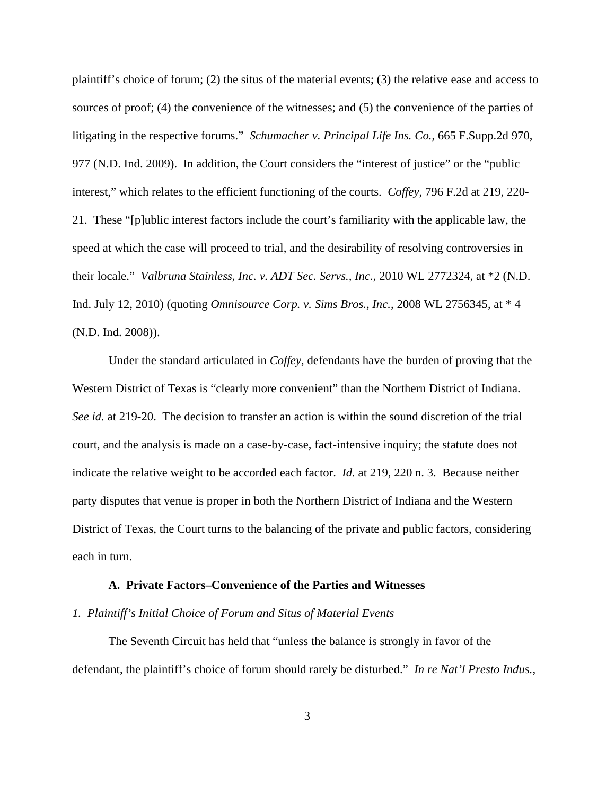plaintiff's choice of forum; (2) the situs of the material events; (3) the relative ease and access to sources of proof; (4) the convenience of the witnesses; and (5) the convenience of the parties of litigating in the respective forums." *Schumacher v. Principal Life Ins. Co.*, 665 F.Supp.2d 970, 977 (N.D. Ind. 2009). In addition, the Court considers the "interest of justice" or the "public interest," which relates to the efficient functioning of the courts. *Coffey*, 796 F.2d at 219, 220- 21. These "[p]ublic interest factors include the court's familiarity with the applicable law, the speed at which the case will proceed to trial, and the desirability of resolving controversies in their locale." *Valbruna Stainless, Inc. v. ADT Sec. Servs., Inc.*, 2010 WL 2772324, at \*2 (N.D. Ind. July 12, 2010) (quoting *Omnisource Corp. v. Sims Bros., Inc.*, 2008 WL 2756345, at \* 4 (N.D. Ind. 2008)).

Under the standard articulated in *Coffey*, defendants have the burden of proving that the Western District of Texas is "clearly more convenient" than the Northern District of Indiana. *See id.* at 219-20. The decision to transfer an action is within the sound discretion of the trial court, and the analysis is made on a case-by-case, fact-intensive inquiry; the statute does not indicate the relative weight to be accorded each factor. *Id.* at 219, 220 n. 3. Because neither party disputes that venue is proper in both the Northern District of Indiana and the Western District of Texas, the Court turns to the balancing of the private and public factors, considering each in turn.

#### **A. Private Factors–Convenience of the Parties and Witnesses**

## *1. Plaintiff's Initial Choice of Forum and Situs of Material Events*

The Seventh Circuit has held that "unless the balance is strongly in favor of the defendant, the plaintiff's choice of forum should rarely be disturbed." *In re Nat'l Presto Indus.,*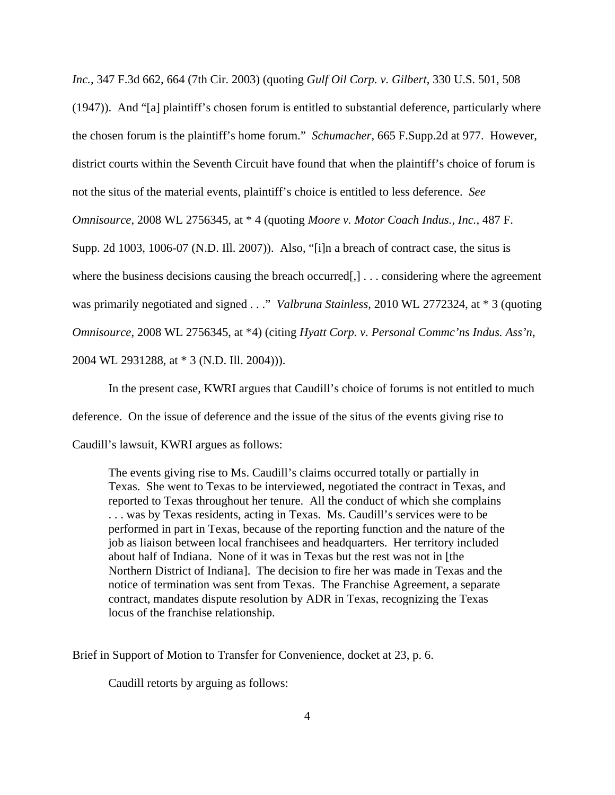*Inc.*, 347 F.3d 662, 664 (7th Cir. 2003) (quoting *Gulf Oil Corp. v. Gilbert*, 330 U.S. 501, 508 (1947)). And "[a] plaintiff's chosen forum is entitled to substantial deference, particularly where the chosen forum is the plaintiff's home forum." *Schumacher*, 665 F.Supp.2d at 977. However, district courts within the Seventh Circuit have found that when the plaintiff's choice of forum is not the situs of the material events, plaintiff's choice is entitled to less deference. *See Omnisource*, 2008 WL 2756345, at \* 4 (quoting *Moore v. Motor Coach Indus., Inc.*, 487 F. Supp. 2d 1003, 1006-07 (N.D. Ill. 2007)). Also, "[i]n a breach of contract case, the situs is where the business decisions causing the breach occurred[,] ... considering where the agreement was primarily negotiated and signed . . ." *Valbruna Stainless*, 2010 WL 2772324, at \* 3 (quoting *Omnisource*, 2008 WL 2756345, at \*4) (citing *Hyatt Corp. v. Personal Commc'ns Indus. Ass'n*, 2004 WL 2931288, at \* 3 (N.D. Ill. 2004))).

In the present case, KWRI argues that Caudill's choice of forums is not entitled to much deference. On the issue of deference and the issue of the situs of the events giving rise to Caudill's lawsuit, KWRI argues as follows:

The events giving rise to Ms. Caudill's claims occurred totally or partially in Texas. She went to Texas to be interviewed, negotiated the contract in Texas, and reported to Texas throughout her tenure. All the conduct of which she complains . . . was by Texas residents, acting in Texas. Ms. Caudill's services were to be performed in part in Texas, because of the reporting function and the nature of the job as liaison between local franchisees and headquarters. Her territory included about half of Indiana. None of it was in Texas but the rest was not in [the Northern District of Indiana]. The decision to fire her was made in Texas and the notice of termination was sent from Texas. The Franchise Agreement, a separate contract, mandates dispute resolution by ADR in Texas, recognizing the Texas locus of the franchise relationship.

Brief in Support of Motion to Transfer for Convenience, docket at 23, p. 6.

Caudill retorts by arguing as follows: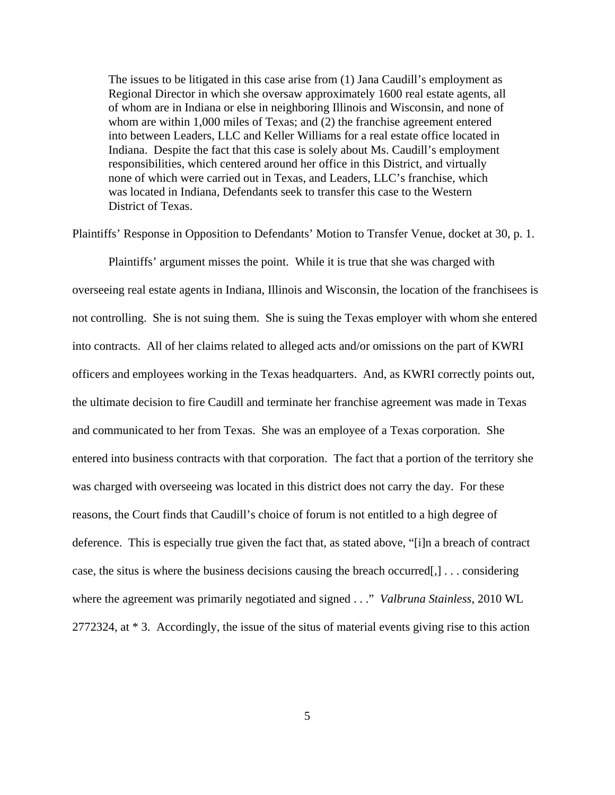The issues to be litigated in this case arise from (1) Jana Caudill's employment as Regional Director in which she oversaw approximately 1600 real estate agents, all of whom are in Indiana or else in neighboring Illinois and Wisconsin, and none of whom are within 1,000 miles of Texas; and (2) the franchise agreement entered into between Leaders, LLC and Keller Williams for a real estate office located in Indiana. Despite the fact that this case is solely about Ms. Caudill's employment responsibilities, which centered around her office in this District, and virtually none of which were carried out in Texas, and Leaders, LLC's franchise, which was located in Indiana, Defendants seek to transfer this case to the Western District of Texas.

Plaintiffs' Response in Opposition to Defendants' Motion to Transfer Venue, docket at 30, p. 1.

Plaintiffs' argument misses the point. While it is true that she was charged with overseeing real estate agents in Indiana, Illinois and Wisconsin, the location of the franchisees is not controlling. She is not suing them. She is suing the Texas employer with whom she entered into contracts. All of her claims related to alleged acts and/or omissions on the part of KWRI officers and employees working in the Texas headquarters. And, as KWRI correctly points out, the ultimate decision to fire Caudill and terminate her franchise agreement was made in Texas and communicated to her from Texas. She was an employee of a Texas corporation. She entered into business contracts with that corporation. The fact that a portion of the territory she was charged with overseeing was located in this district does not carry the day. For these reasons, the Court finds that Caudill's choice of forum is not entitled to a high degree of deference. This is especially true given the fact that, as stated above, "[i]n a breach of contract case, the situs is where the business decisions causing the breach occurred[,] . . . considering where the agreement was primarily negotiated and signed . . ." *Valbruna Stainless*, 2010 WL 2772324, at \* 3. Accordingly, the issue of the situs of material events giving rise to this action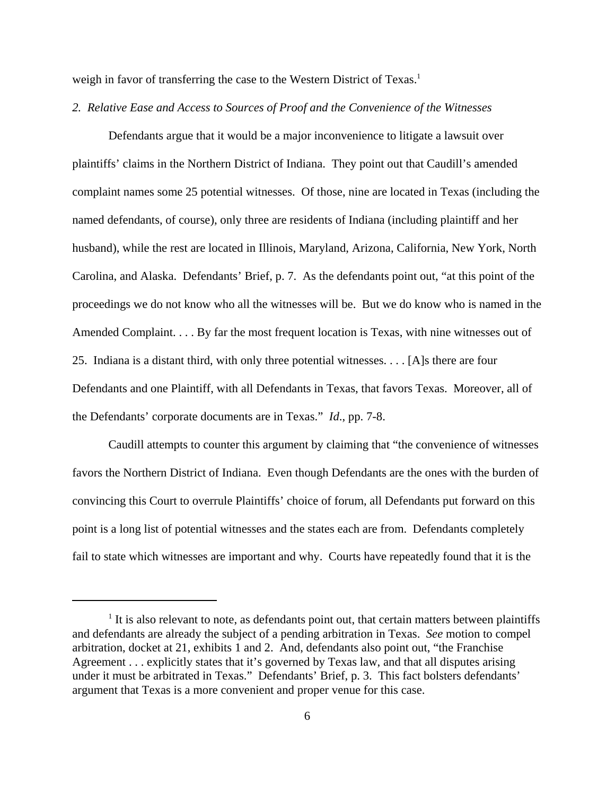weigh in favor of transferring the case to the Western District of Texas.<sup>1</sup>

### *2. Relative Ease and Access to Sources of Proof and the Convenience of the Witnesses*

Defendants argue that it would be a major inconvenience to litigate a lawsuit over plaintiffs' claims in the Northern District of Indiana. They point out that Caudill's amended complaint names some 25 potential witnesses. Of those, nine are located in Texas (including the named defendants, of course), only three are residents of Indiana (including plaintiff and her husband), while the rest are located in Illinois, Maryland, Arizona, California, New York, North Carolina, and Alaska. Defendants' Brief, p. 7. As the defendants point out, "at this point of the proceedings we do not know who all the witnesses will be. But we do know who is named in the Amended Complaint. . . . By far the most frequent location is Texas, with nine witnesses out of 25. Indiana is a distant third, with only three potential witnesses. . . . [A]s there are four Defendants and one Plaintiff, with all Defendants in Texas, that favors Texas. Moreover, all of the Defendants' corporate documents are in Texas." *Id*., pp. 7-8.

Caudill attempts to counter this argument by claiming that "the convenience of witnesses favors the Northern District of Indiana. Even though Defendants are the ones with the burden of convincing this Court to overrule Plaintiffs' choice of forum, all Defendants put forward on this point is a long list of potential witnesses and the states each are from. Defendants completely fail to state which witnesses are important and why. Courts have repeatedly found that it is the

<sup>&</sup>lt;sup>1</sup> It is also relevant to note, as defendants point out, that certain matters between plaintiffs and defendants are already the subject of a pending arbitration in Texas. *See* motion to compel arbitration, docket at 21, exhibits 1 and 2. And, defendants also point out, "the Franchise Agreement . . . explicitly states that it's governed by Texas law, and that all disputes arising under it must be arbitrated in Texas." Defendants' Brief, p. 3. This fact bolsters defendants' argument that Texas is a more convenient and proper venue for this case.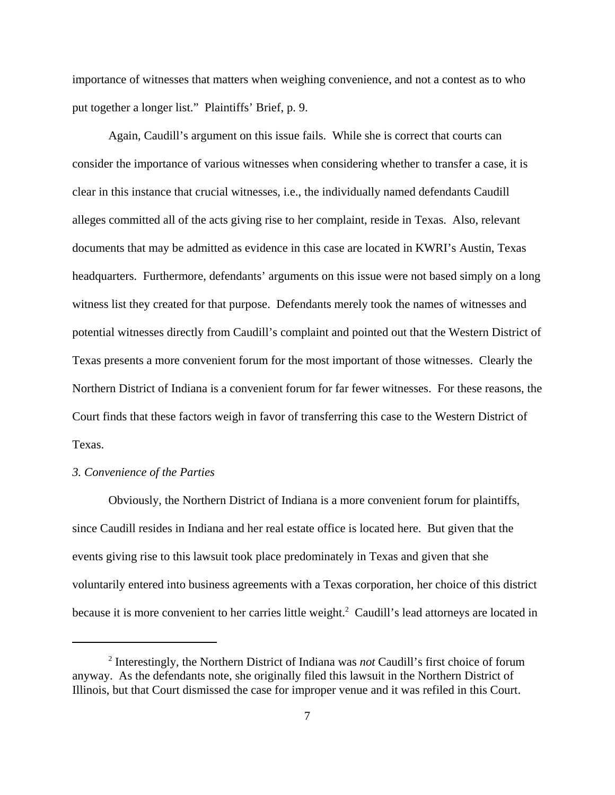importance of witnesses that matters when weighing convenience, and not a contest as to who put together a longer list." Plaintiffs' Brief, p. 9.

Again, Caudill's argument on this issue fails. While she is correct that courts can consider the importance of various witnesses when considering whether to transfer a case, it is clear in this instance that crucial witnesses, i.e., the individually named defendants Caudill alleges committed all of the acts giving rise to her complaint, reside in Texas. Also, relevant documents that may be admitted as evidence in this case are located in KWRI's Austin, Texas headquarters. Furthermore, defendants' arguments on this issue were not based simply on a long witness list they created for that purpose. Defendants merely took the names of witnesses and potential witnesses directly from Caudill's complaint and pointed out that the Western District of Texas presents a more convenient forum for the most important of those witnesses. Clearly the Northern District of Indiana is a convenient forum for far fewer witnesses. For these reasons, the Court finds that these factors weigh in favor of transferring this case to the Western District of Texas.

## *3. Convenience of the Parties*

Obviously, the Northern District of Indiana is a more convenient forum for plaintiffs, since Caudill resides in Indiana and her real estate office is located here. But given that the events giving rise to this lawsuit took place predominately in Texas and given that she voluntarily entered into business agreements with a Texas corporation, her choice of this district because it is more convenient to her carries little weight.<sup>2</sup> Caudill's lead attorneys are located in

<sup>2</sup> Interestingly, the Northern District of Indiana was *not* Caudill's first choice of forum anyway. As the defendants note, she originally filed this lawsuit in the Northern District of Illinois, but that Court dismissed the case for improper venue and it was refiled in this Court.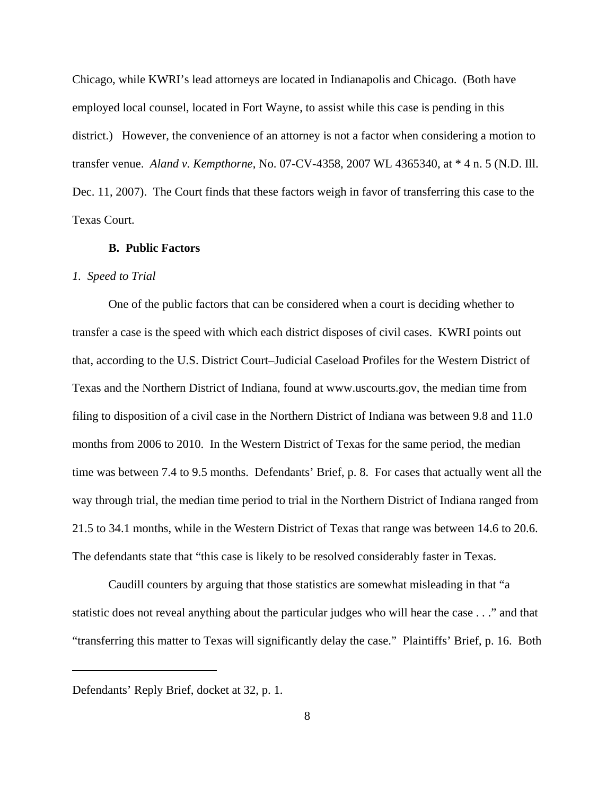Chicago, while KWRI's lead attorneys are located in Indianapolis and Chicago. (Both have employed local counsel, located in Fort Wayne, to assist while this case is pending in this district.) However, the convenience of an attorney is not a factor when considering a motion to transfer venue. *Aland v. Kempthorne*, No. 07-CV-4358, 2007 WL 4365340, at \* 4 n. 5 (N.D. Ill. Dec. 11, 2007). The Court finds that these factors weigh in favor of transferring this case to the Texas Court.

## **B. Public Factors**

## *1. Speed to Trial*

One of the public factors that can be considered when a court is deciding whether to transfer a case is the speed with which each district disposes of civil cases. KWRI points out that, according to the U.S. District Court–Judicial Caseload Profiles for the Western District of Texas and the Northern District of Indiana, found at www.uscourts.gov, the median time from filing to disposition of a civil case in the Northern District of Indiana was between 9.8 and 11.0 months from 2006 to 2010. In the Western District of Texas for the same period, the median time was between 7.4 to 9.5 months. Defendants' Brief, p. 8. For cases that actually went all the way through trial, the median time period to trial in the Northern District of Indiana ranged from 21.5 to 34.1 months, while in the Western District of Texas that range was between 14.6 to 20.6. The defendants state that "this case is likely to be resolved considerably faster in Texas.

Caudill counters by arguing that those statistics are somewhat misleading in that "a statistic does not reveal anything about the particular judges who will hear the case . . ." and that "transferring this matter to Texas will significantly delay the case." Plaintiffs' Brief, p. 16. Both

Defendants' Reply Brief, docket at 32, p. 1.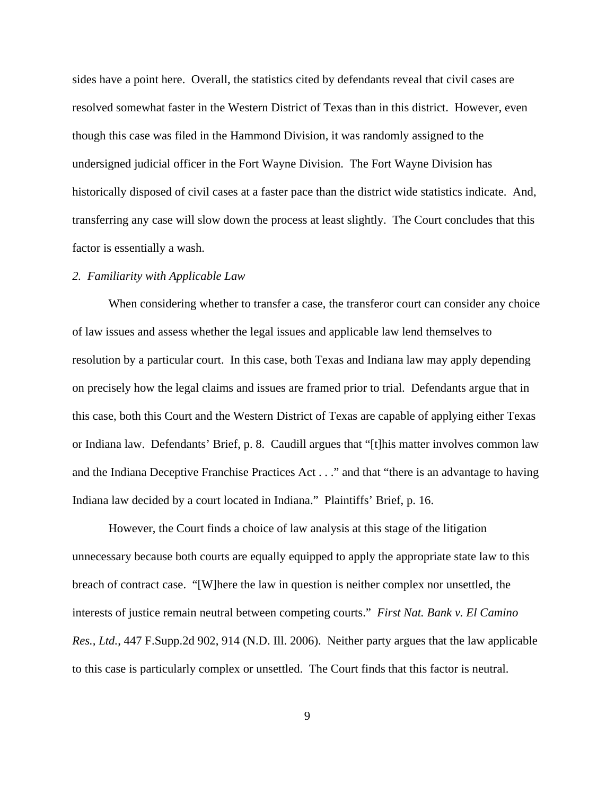sides have a point here. Overall, the statistics cited by defendants reveal that civil cases are resolved somewhat faster in the Western District of Texas than in this district. However, even though this case was filed in the Hammond Division, it was randomly assigned to the undersigned judicial officer in the Fort Wayne Division. The Fort Wayne Division has historically disposed of civil cases at a faster pace than the district wide statistics indicate. And, transferring any case will slow down the process at least slightly. The Court concludes that this factor is essentially a wash.

## *2. Familiarity with Applicable Law*

When considering whether to transfer a case, the transferor court can consider any choice of law issues and assess whether the legal issues and applicable law lend themselves to resolution by a particular court. In this case, both Texas and Indiana law may apply depending on precisely how the legal claims and issues are framed prior to trial. Defendants argue that in this case, both this Court and the Western District of Texas are capable of applying either Texas or Indiana law. Defendants' Brief, p. 8. Caudill argues that "[t]his matter involves common law and the Indiana Deceptive Franchise Practices Act . . ." and that "there is an advantage to having Indiana law decided by a court located in Indiana." Plaintiffs' Brief, p. 16.

However, the Court finds a choice of law analysis at this stage of the litigation unnecessary because both courts are equally equipped to apply the appropriate state law to this breach of contract case. "[W]here the law in question is neither complex nor unsettled, the interests of justice remain neutral between competing courts." *First Nat. Bank v. El Camino Res., Ltd.*, 447 F.Supp.2d 902, 914 (N.D. Ill. 2006). Neither party argues that the law applicable to this case is particularly complex or unsettled. The Court finds that this factor is neutral.

9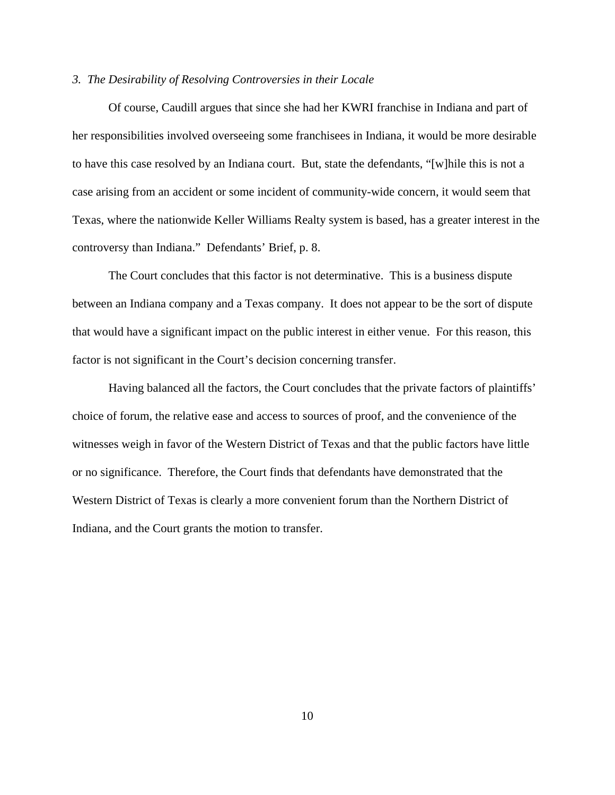### *3. The Desirability of Resolving Controversies in their Locale*

Of course, Caudill argues that since she had her KWRI franchise in Indiana and part of her responsibilities involved overseeing some franchisees in Indiana, it would be more desirable to have this case resolved by an Indiana court. But, state the defendants, "[w]hile this is not a case arising from an accident or some incident of community-wide concern, it would seem that Texas, where the nationwide Keller Williams Realty system is based, has a greater interest in the controversy than Indiana." Defendants' Brief, p. 8.

The Court concludes that this factor is not determinative. This is a business dispute between an Indiana company and a Texas company. It does not appear to be the sort of dispute that would have a significant impact on the public interest in either venue. For this reason, this factor is not significant in the Court's decision concerning transfer.

Having balanced all the factors, the Court concludes that the private factors of plaintiffs' choice of forum, the relative ease and access to sources of proof, and the convenience of the witnesses weigh in favor of the Western District of Texas and that the public factors have little or no significance. Therefore, the Court finds that defendants have demonstrated that the Western District of Texas is clearly a more convenient forum than the Northern District of Indiana, and the Court grants the motion to transfer.